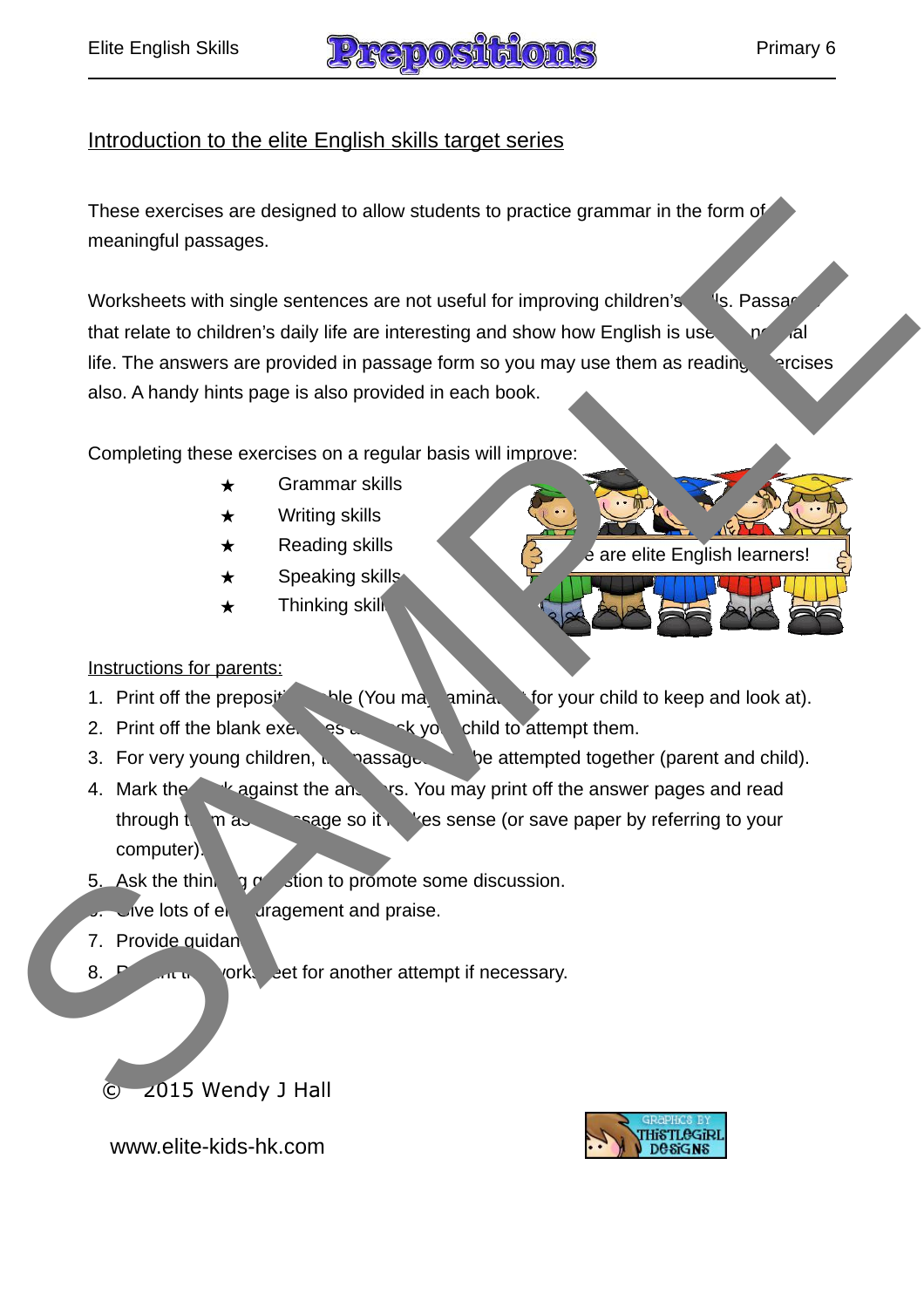

### Introduction to the elite English skills target series

These exercises are designed to allow students to practice grammar in the form of meaningful passages.

Worksheets with single sentences are not useful for improving children's salls. Passage that relate to children's daily life are interesting and show how English is use in normal life. The answers are provided in passage form so you may use them as reading exercises also. A handy hints page is also provided in each book. These exercises are designed to allow students to practice grammar in the form<br>
meaningful passages.<br>
Worksheats with single santonces are not useful for improving children's<br>
that relate to children's daily life are inter

Completing these exercises on a regular basis will improve:

- ★ Grammar skills
- $\star$  Writing skills
- $\star$  Reading skills
- $\star$  Speaking skill
- $\star$  Thinking skills

Instructions for parents:

- 1. Print off the preposition that (You may lamination for your child to keep and look at).
- 2. Print off the blank  $ex_{\epsilon}$  as an axis you child to attempt them.
- 3. For very young children, the passage of the attempted together (parent and child).
- 4. Mark the wagainst the answer pages and read the Mark the answer pages and read through  $\mathbb{R}$  m as  $\mathbb{R}$  as a pass it  $\mathbb{R}$  is sense (or save paper by referring to your computer).
- 5. Ask the thinking  $\frac{1}{2}$  stion to promote some discussion.
- $\sqrt{6}$  lots of encouragement and praise.
- 7. Provide quidan

August 2012

8. **8. Periodic in the worksheet for another attempt if necessary.** 

Author: Wendy J Hall © 2015 Wendy J Hall



e are elite English learners!

© www.elite-kids-hk.com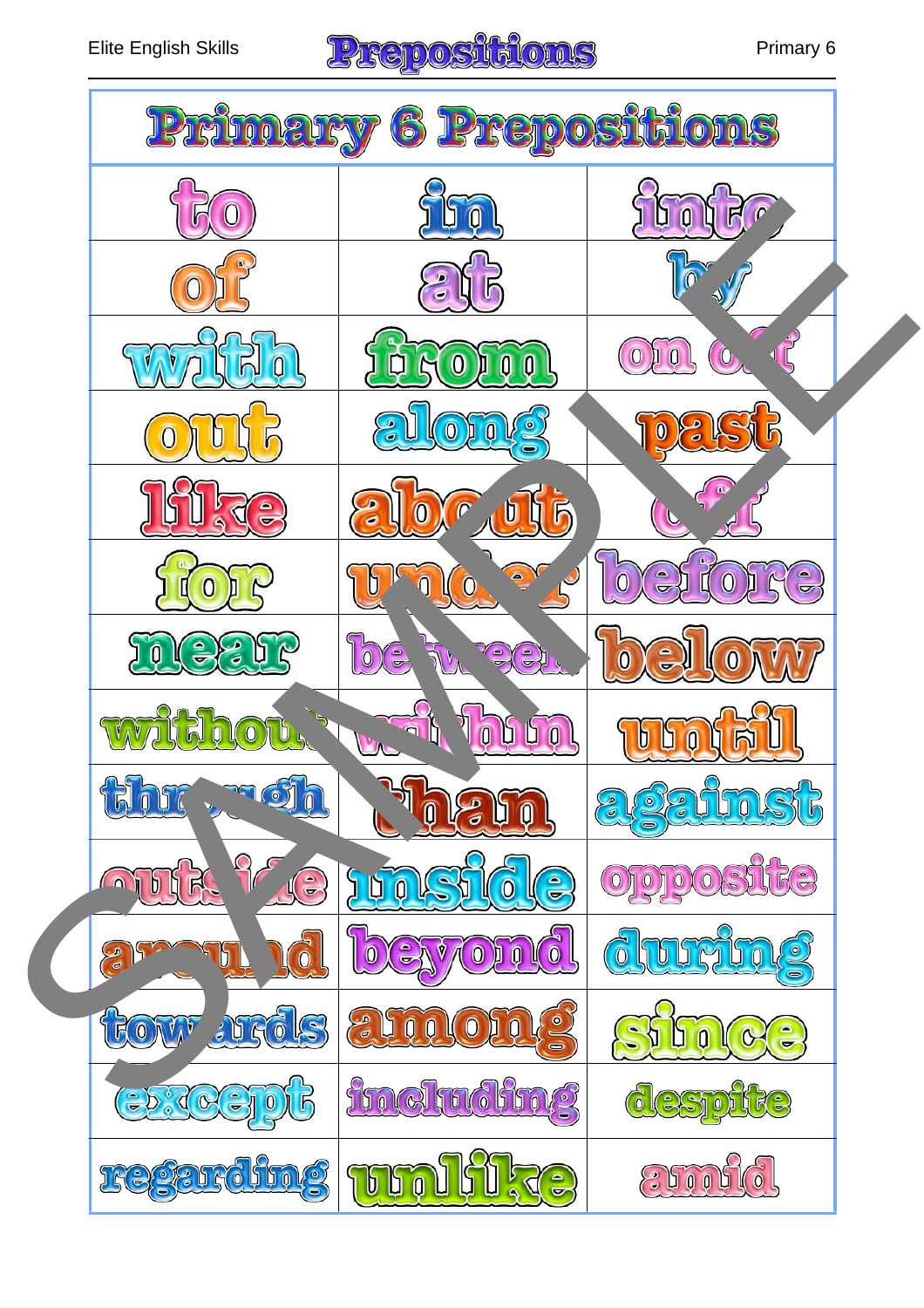# Elite English Skills **Premier and Strategy OST (5)** Primary 6

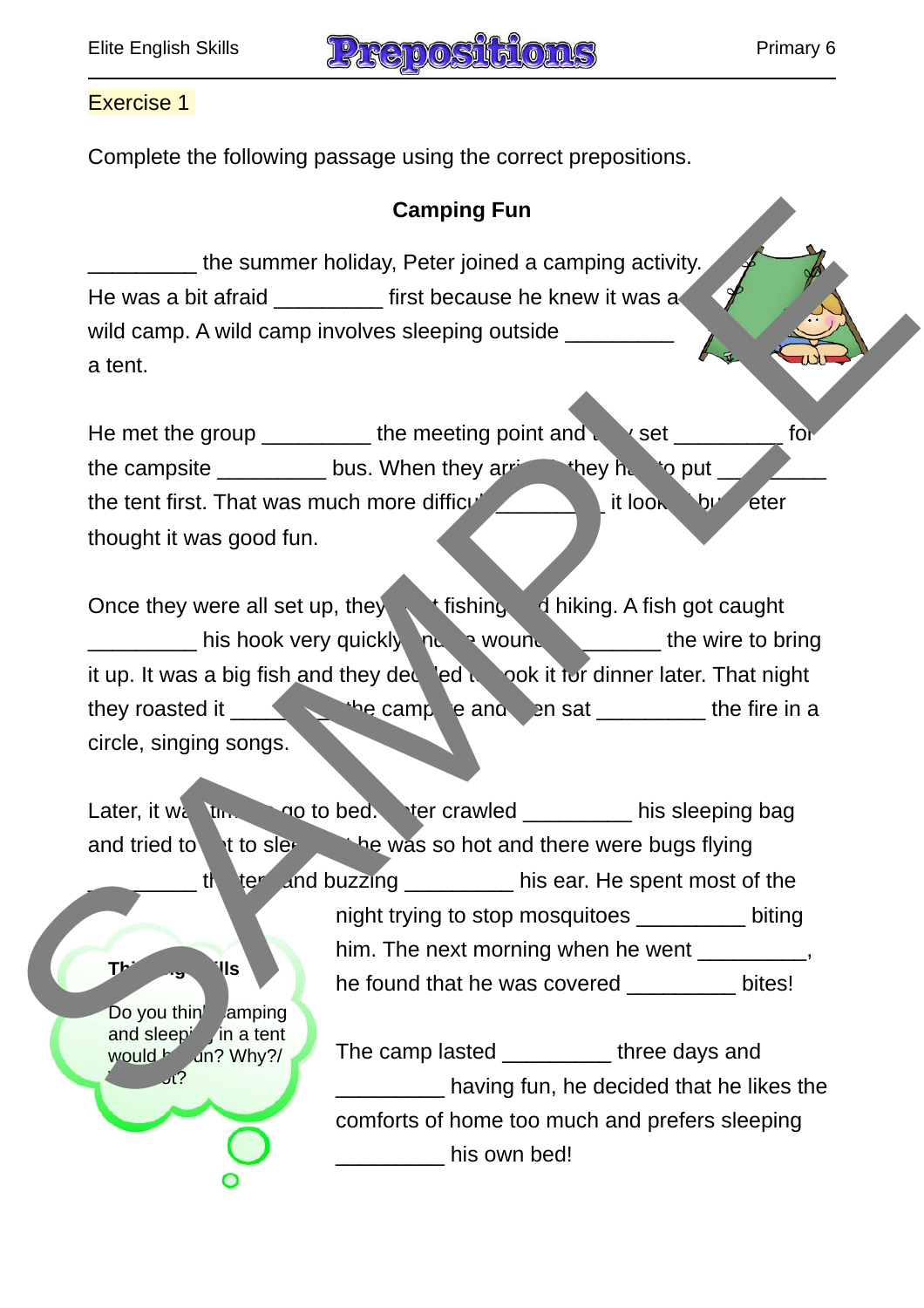$mld$  and  $m$ ? Why?/

 $\mathcal{M}$ 



#### Exercise 1

Complete the following passage using the correct prepositions.

## **Camping Fun**

the summer holiday, Peter joined a camping activity. He was a bit afraid \_\_\_\_\_\_\_\_ first because he knew it was a wild camp. A wild camp involves sleeping outside a tent.

He met the group the meeting point and the set the set  $\blacksquare$  for the campsite  $\frac{1}{\sqrt{2\pi}}$  bus. When they arrived, they had to put \_ the tent first. That was much more difficult  $\mathbf{I}$  it looked by Peter thought it was good fun.

Once they were all set up, they went fishing and hiking. A fish got caught his hook very quickly not wound the wire to bring it up. It was a big fish and they ded to cook it for dinner later. That night they roasted it  $\qquad \qquad$  is camp e and  $\qquad$  and  $\qquad$  and  $\qquad$  the fire in a circle, singing songs.

Later, it we tuse the to bed. Peter crawled the sleeping bag and tried to get to sleep the was so hot and there were bugs flying  $\frac{1}{2}$  tell and buzzing the his ear. He spent most of the night trying to stop mosquitoes \_\_\_\_\_\_\_\_\_ biting him. The next morning when he went \_\_\_\_\_\_\_\_, he found that he was covered bites! **Thinking Skills** Do you thin amping and sleep<sup> $\lambda$ </sup> in a tent Company of the summer holiday, Peter joined a camping activity<br>
Wild camp, A wild camp involves sleeping outside<br>
A wild camp, movives sleeping outside<br>
He met the group<br>
the earnsite bus. When they are the stress with the

The camp lasted \_\_\_\_\_\_\_\_\_ three days and **with the lightne fun, he decided that he likes the** comforts of home too much and prefers sleeping dentilies own bed!